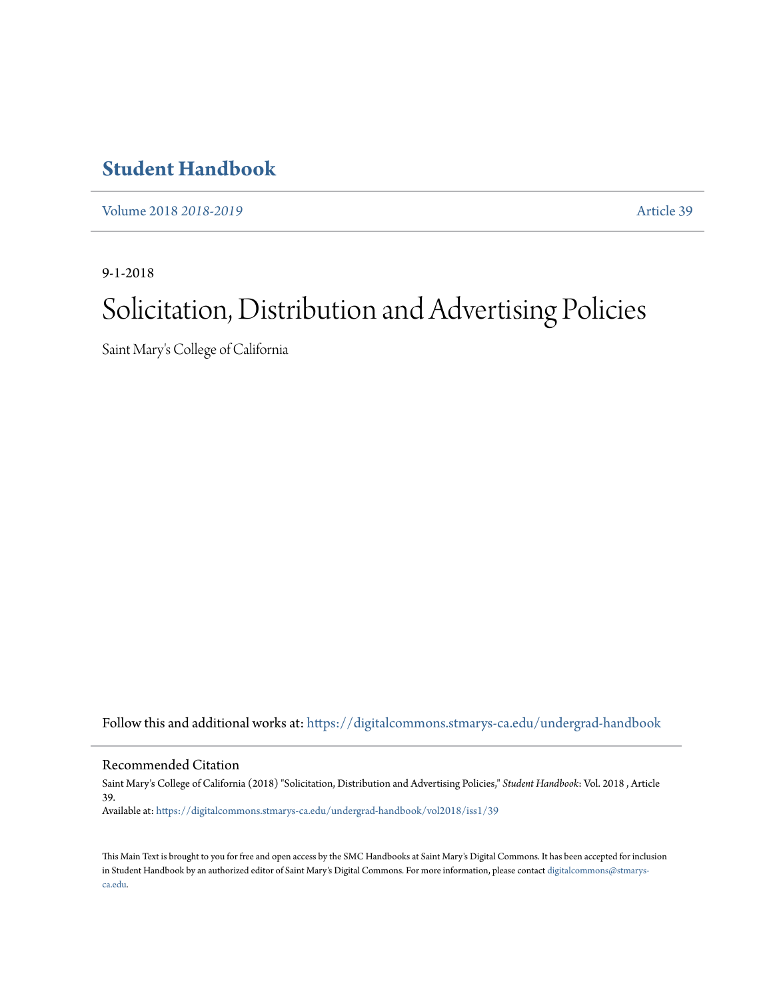# **[Student Handbook](https://digitalcommons.stmarys-ca.edu/undergrad-handbook?utm_source=digitalcommons.stmarys-ca.edu%2Fundergrad-handbook%2Fvol2018%2Fiss1%2F39&utm_medium=PDF&utm_campaign=PDFCoverPages)**

[Volume 2018](https://digitalcommons.stmarys-ca.edu/undergrad-handbook/vol2018?utm_source=digitalcommons.stmarys-ca.edu%2Fundergrad-handbook%2Fvol2018%2Fiss1%2F39&utm_medium=PDF&utm_campaign=PDFCoverPages) *2018-2019* [Article 39](https://digitalcommons.stmarys-ca.edu/undergrad-handbook/vol2018/iss1/39?utm_source=digitalcommons.stmarys-ca.edu%2Fundergrad-handbook%2Fvol2018%2Fiss1%2F39&utm_medium=PDF&utm_campaign=PDFCoverPages)

9-1-2018

# Solicitation, Distribution and Advertising Policies

Saint Mary's College of California

Follow this and additional works at: [https://digitalcommons.stmarys-ca.edu/undergrad-handbook](https://digitalcommons.stmarys-ca.edu/undergrad-handbook?utm_source=digitalcommons.stmarys-ca.edu%2Fundergrad-handbook%2Fvol2018%2Fiss1%2F39&utm_medium=PDF&utm_campaign=PDFCoverPages)

Recommended Citation

Saint Mary's College of California (2018) "Solicitation, Distribution and Advertising Policies," *Student Handbook*: Vol. 2018 , Article 39. Available at: [https://digitalcommons.stmarys-ca.edu/undergrad-handbook/vol2018/iss1/39](https://digitalcommons.stmarys-ca.edu/undergrad-handbook/vol2018/iss1/39?utm_source=digitalcommons.stmarys-ca.edu%2Fundergrad-handbook%2Fvol2018%2Fiss1%2F39&utm_medium=PDF&utm_campaign=PDFCoverPages)

This Main Text is brought to you for free and open access by the SMC Handbooks at Saint Mary's Digital Commons. It has been accepted for inclusion in Student Handbook by an authorized editor of Saint Mary's Digital Commons. For more information, please contact [digitalcommons@stmarys](mailto:digitalcommons@stmarys-ca.edu)[ca.edu](mailto:digitalcommons@stmarys-ca.edu).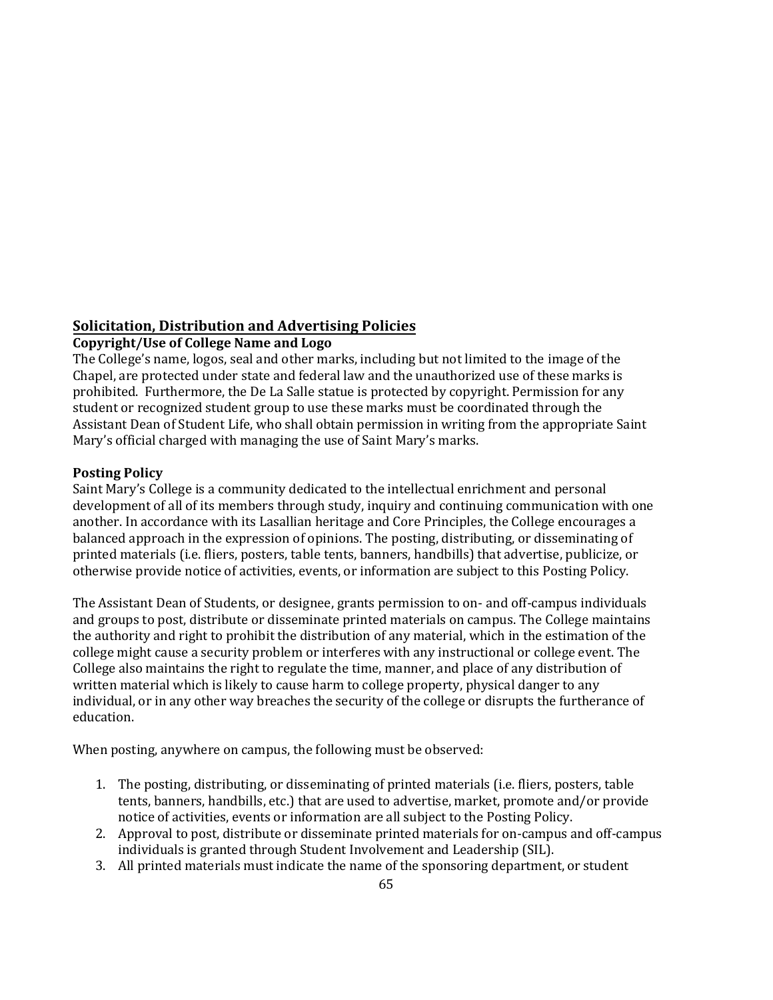# **Solicitation, Distribution and Advertising Policies**

## **Copyright/Use of College Name and Logo**

The College's name, logos, seal and other marks, including but not limited to the image of the Chapel, are protected under state and federal law and the unauthorized use of these marks is prohibited. Furthermore, the De La Salle statue is protected by copyright. Permission for any student or recognized student group to use these marks must be coordinated through the Assistant Dean of Student Life, who shall obtain permission in writing from the appropriate Saint Mary's official charged with managing the use of Saint Mary's marks.

### **Posting Policy**

Saint Mary's College is a community dedicated to the intellectual enrichment and personal development of all of its members through study, inquiry and continuing communication with one another. In accordance with its Lasallian heritage and Core Principles, the College encourages a balanced approach in the expression of opinions. The posting, distributing, or disseminating of printed materials (i.e. fliers, posters, table tents, banners, handbills) that advertise, publicize, or otherwise provide notice of activities, events, or information are subject to this Posting Policy.

The Assistant Dean of Students, or designee, grants permission to on- and off-campus individuals and groups to post, distribute or disseminate printed materials on campus. The College maintains the authority and right to prohibit the distribution of any material, which in the estimation of the college might cause a security problem or interferes with any instructional or college event. The College also maintains the right to regulate the time, manner, and place of any distribution of written material which is likely to cause harm to college property, physical danger to any individual, or in any other way breaches the security of the college or disrupts the furtherance of education.

When posting, anywhere on campus, the following must be observed:

- 1. The posting, distributing, or disseminating of printed materials (i.e. fliers, posters, table tents, banners, handbills, etc.) that are used to advertise, market, promote and/or provide notice of activities, events or information are all subject to the Posting Policy.
- 2. Approval to post, distribute or disseminate printed materials for on-campus and off-campus individuals is granted through Student Involvement and Leadership (SIL).
- 3. All printed materials must indicate the name of the sponsoring department, or student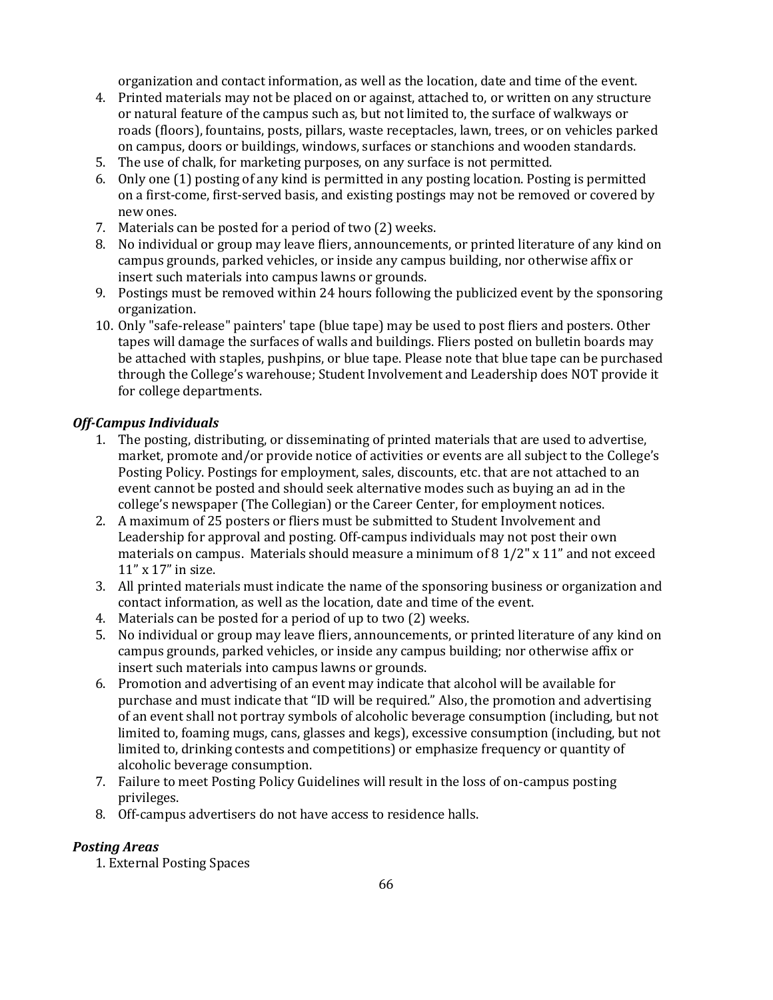organization and contact information, as well as the location, date and time of the event.

- 4. Printed materials may not be placed on or against, attached to, or written on any structure or natural feature of the campus such as, but not limited to, the surface of walkways or roads (floors), fountains, posts, pillars, waste receptacles, lawn, trees, or on vehicles parked on campus, doors or buildings, windows, surfaces or stanchions and wooden standards.
- 5. The use of chalk, for marketing purposes, on any surface is not permitted.
- 6. Only one (1) posting of any kind is permitted in any posting location. Posting is permitted on a first-come, first-served basis, and existing postings may not be removed or covered by new ones.
- 7. Materials can be posted for a period of two (2) weeks.
- 8. No individual or group may leave fliers, announcements, or printed literature of any kind on campus grounds, parked vehicles, or inside any campus building, nor otherwise affix or insert such materials into campus lawns or grounds.
- 9. Postings must be removed within 24 hours following the publicized event by the sponsoring organization.
- 10. Only "safe-release" painters' tape (blue tape) may be used to post fliers and posters. Other tapes will damage the surfaces of walls and buildings. Fliers posted on bulletin boards may be attached with staples, pushpins, or blue tape. Please note that blue tape can be purchased through the College's warehouse; Student Involvement and Leadership does NOT provide it for college departments.

#### *Off-Campus Individuals*

- 1. The posting, distributing, or disseminating of printed materials that are used to advertise, market, promote and/or provide notice of activities or events are all subject to the College's Posting Policy. Postings for employment, sales, discounts, etc. that are not attached to an event cannot be posted and should seek alternative modes such as buying an ad in the college's newspaper (The Collegian) or the Career Center, for employment notices.
- 2. A maximum of 25 posters or fliers must be submitted to Student Involvement and Leadership for approval and posting. Off-campus individuals may not post their own materials on campus. Materials should measure a minimum of 8 1/2" x 11" and not exceed 11" x 17" in size.
- 3. All printed materials must indicate the name of the sponsoring business or organization and contact information, as well as the location, date and time of the event.
- 4. Materials can be posted for a period of up to two (2) weeks.
- 5. No individual or group may leave fliers, announcements, or printed literature of any kind on campus grounds, parked vehicles, or inside any campus building; nor otherwise affix or insert such materials into campus lawns or grounds.
- 6. Promotion and advertising of an event may indicate that alcohol will be available for purchase and must indicate that "ID will be required." Also, the promotion and advertising of an event shall not portray symbols of alcoholic beverage consumption (including, but not limited to, foaming mugs, cans, glasses and kegs), excessive consumption (including, but not limited to, drinking contests and competitions) or emphasize frequency or quantity of alcoholic beverage consumption.
- 7. Failure to meet Posting Policy Guidelines will result in the loss of on-campus posting privileges.
- 8. Off-campus advertisers do not have access to residence halls.

#### *Posting Areas*

1. External Posting Spaces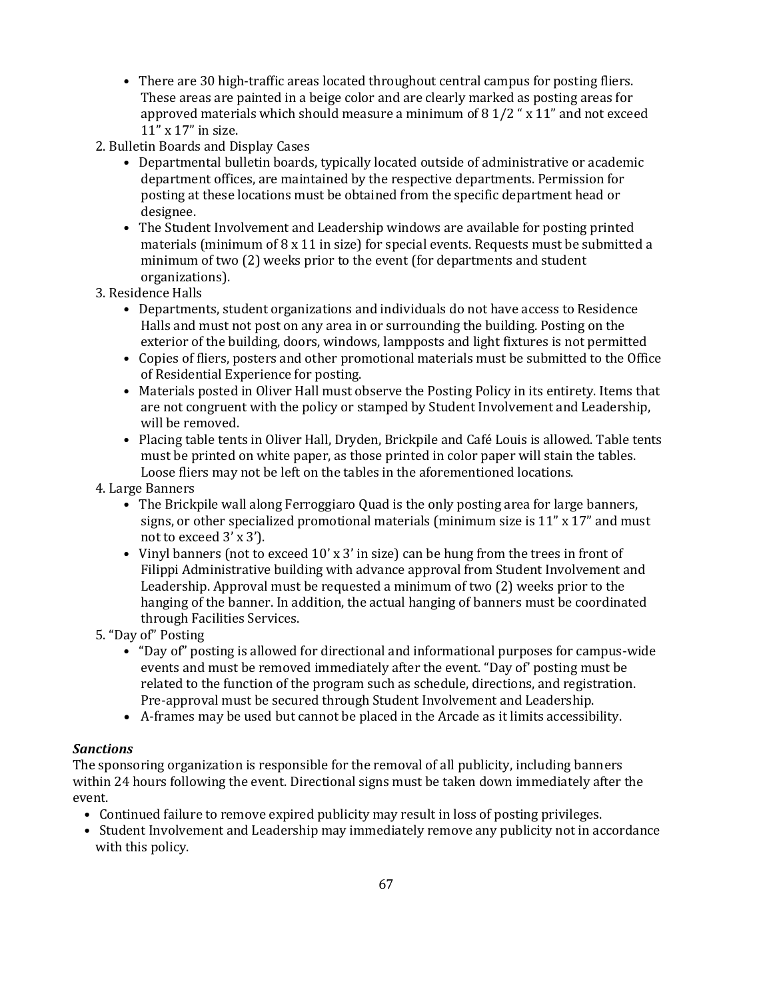- There are 30 high-traffic areas located throughout central campus for posting fliers. These areas are painted in a beige color and are clearly marked as posting areas for approved materials which should measure a minimum of 8 1/2 " x 11" and not exceed 11" x 17" in size.
- 2. Bulletin Boards and Display Cases
	- Departmental bulletin boards, typically located outside of administrative or academic department offices, are maintained by the respective departments. Permission for posting at these locations must be obtained from the specific department head or designee.
	- The Student Involvement and Leadership windows are available for posting printed materials (minimum of  $8 \times 11$  in size) for special events. Requests must be submitted a minimum of two (2) weeks prior to the event (for departments and student organizations).
- 3. Residence Halls
	- Departments, student organizations and individuals do not have access to Residence Halls and must not post on any area in or surrounding the building. Posting on the exterior of the building, doors, windows, lampposts and light fixtures is not permitted
	- Copies of fliers, posters and other promotional materials must be submitted to the Office of Residential Experience for posting.
	- Materials posted in Oliver Hall must observe the Posting Policy in its entirety. Items that are not congruent with the policy or stamped by Student Involvement and Leadership, will be removed.
	- Placing table tents in Oliver Hall, Dryden, Brickpile and Café Louis is allowed. Table tents must be printed on white paper, as those printed in color paper will stain the tables. Loose fliers may not be left on the tables in the aforementioned locations.
- 4. Large Banners
	- The Brickpile wall along Ferroggiaro Quad is the only posting area for large banners, signs, or other specialized promotional materials (minimum size is 11" x 17" and must not to exceed 3' x 3').
	- Vinyl banners (not to exceed 10' x 3' in size) can be hung from the trees in front of Filippi Administrative building with advance approval from Student Involvement and Leadership. Approval must be requested a minimum of two (2) weeks prior to the hanging of the banner. In addition, the actual hanging of banners must be coordinated through Facilities Services.
- 5. "Day of" Posting
	- "Day of" posting is allowed for directional and informational purposes for campus-wide events and must be removed immediately after the event. "Day of' posting must be related to the function of the program such as schedule, directions, and registration. Pre-approval must be secured through Student Involvement and Leadership.
	- A-frames may be used but cannot be placed in the Arcade as it limits accessibility.

#### *Sanctions*

The sponsoring organization is responsible for the removal of all publicity, including banners within 24 hours following the event. Directional signs must be taken down immediately after the event.

- Continued failure to remove expired publicity may result in loss of posting privileges.
- Student Involvement and Leadership may immediately remove any publicity not in accordance with this policy.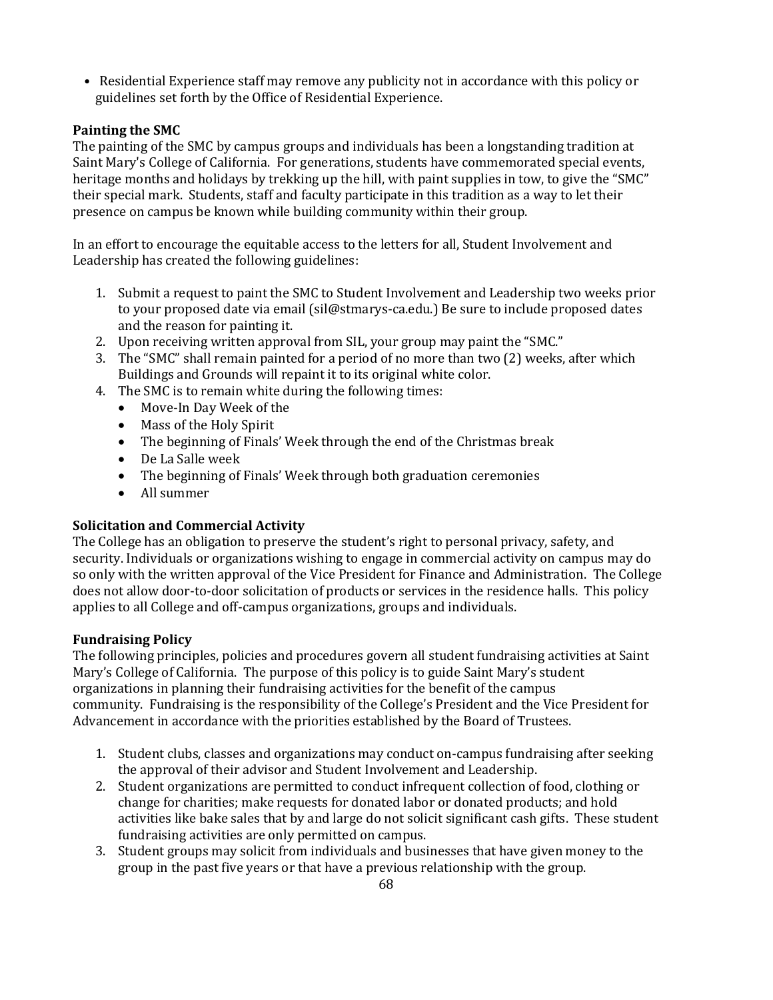• Residential Experience staff may remove any publicity not in accordance with this policy or guidelines set forth by the Office of Residential Experience.

# **Painting the SMC**

The painting of the SMC by campus groups and individuals has been a longstanding tradition at Saint Mary's College of California. For generations, students have commemorated special events, heritage months and holidays by trekking up the hill, with paint supplies in tow, to give the "SMC" their special mark. Students, staff and faculty participate in this tradition as a way to let their presence on campus be known while building community within their group.

In an effort to encourage the equitable access to the letters for all, Student Involvement and Leadership has created the following guidelines:

- 1. Submit a request to paint the SMC to Student Involvement and Leadership two weeks prior to your proposed date via email (sil@stmarys-ca.edu.) Be sure to include proposed dates and the reason for painting it.
- 2. Upon receiving written approval from SIL, your group may paint the "SMC."
- 3. The "SMC" shall remain painted for a period of no more than two (2) weeks, after which Buildings and Grounds will repaint it to its original white color.
- 4. The SMC is to remain white during the following times:
	- Move-In Day Week of the
	- Mass of the Holy Spirit
	- The beginning of Finals' Week through the end of the Christmas break
	- De La Salle week
	- The beginning of Finals' Week through both graduation ceremonies
	- All summer

# **Solicitation and Commercial Activity**

The College has an obligation to preserve the student's right to personal privacy, safety, and security. Individuals or organizations wishing to engage in commercial activity on campus may do so only with the written approval of the Vice President for Finance and Administration. The College does not allow door-to-door solicitation of products or services in the residence halls. This policy applies to all College and off-campus organizations, groups and individuals.

# **Fundraising Policy**

The following principles, policies and procedures govern all student fundraising activities at Saint Mary's College of California. The purpose of this policy is to guide Saint Mary's student organizations in planning their fundraising activities for the benefit of the campus community. Fundraising is the responsibility of the College's President and the Vice President for Advancement in accordance with the priorities established by the Board of Trustees.

- 1. Student clubs, classes and organizations may conduct on-campus fundraising after seeking the approval of their advisor and Student Involvement and Leadership.
- 2. Student organizations are permitted to conduct infrequent collection of food, clothing or change for charities; make requests for donated labor or donated products; and hold activities like bake sales that by and large do not solicit significant cash gifts. These student fundraising activities are only permitted on campus.
- 3. Student groups may solicit from individuals and businesses that have given money to the group in the past five years or that have a previous relationship with the group.